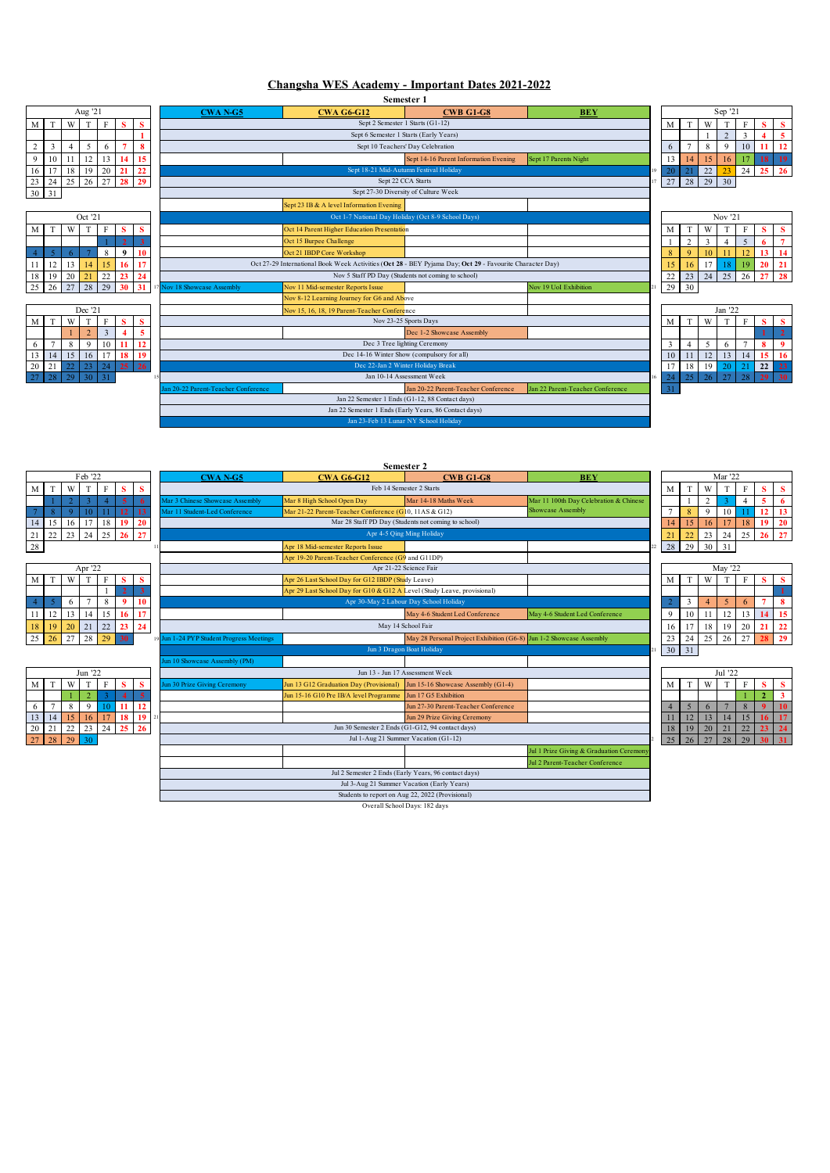## **Changsha WES Academy - Important Dates 2021-2022**

**Semester 1**

| Aug '21 |    |    |    |    |    |    |  |  |  |  |
|---------|----|----|----|----|----|----|--|--|--|--|
| М       | T  |    | T  | F  | s  | s  |  |  |  |  |
|         |    |    |    |    |    |    |  |  |  |  |
| 2       | 3  | 4  | 5  | 6  |    | 8  |  |  |  |  |
| 9       | 10 |    | 12 | 13 | 14 | 15 |  |  |  |  |
| 16      |    | 18 | 19 | 20 | 21 | 22 |  |  |  |  |
| 23      | 24 | 25 | 26 | 27 | 28 | 29 |  |  |  |  |
| 30      | 31 |    |    |    |    |    |  |  |  |  |
|         |    |    |    |    |    |    |  |  |  |  |

|    |    |    | Oct '21 |    |    |   |
|----|----|----|---------|----|----|---|
| M  | Т  |    | т       | F  | s  | S |
|    |    |    |         |    | 2  | 3 |
|    |    | 6  |         | 8  | q  |   |
|    | 12 | 13 | 14      | 15 | 16 |   |
| 18 | 19 | 20 | 21      | 22 | 23 |   |
| 25 | 26 | 27 | 28      | 29 |    |   |
|    |    |    |         |    |    |   |

|    |    |    | Dec '21 |   |    |    |
|----|----|----|---------|---|----|----|
| М  |    |    |         | F |    | s  |
|    |    |    |         |   |    |    |
| 6  |    |    |         |   |    | 12 |
| 13 | l4 | 15 | 16      |   | 18 |    |
| 20 |    | 22 | 23      |   | 25 | 26 |
|    | 28 |    |         |   |    |    |

|          |    |    | Aug '21 |              |                  |    | <b>CWA N-G5</b>                    | <b>CWA G6-G12</b>                                                                                        | <b>CWB G1-G8</b>                      | <b>BEY</b>                       |    |                |    | Sep 21         |              |                  |                  |
|----------|----|----|---------|--------------|------------------|----|------------------------------------|----------------------------------------------------------------------------------------------------------|---------------------------------------|----------------------------------|----|----------------|----|----------------|--------------|------------------|------------------|
| М        |    | W  | T       | F            | s                | s  |                                    | Sept 2 Semester 1 Starts (G1-12)                                                                         |                                       |                                  | M  | T              | W  |                | F            | s                | S                |
|          |    |    |         |              |                  |    |                                    | Sept 6 Semester 1 Starts (Early Years)                                                                   |                                       |                                  |    |                |    | $\overline{2}$ | $\mathbf{3}$ |                  | 5                |
| $\Delta$ | 3  | 4  | 5       | 6            |                  | 8  |                                    | Sept 10 Teachers' Day Celebration                                                                        |                                       |                                  | 6  |                | 8  | 9              | 10           |                  | 12               |
| 9        | 10 | 11 | 12      | 13           | 14               | 15 |                                    |                                                                                                          | Sept 14-16 Parent Information Evening | Sept 17 Parents Night            | 13 | 14             | 15 | 16             |              | 18               | 19               |
| 16       | 17 | 18 | 19      | 20           | 21               | 22 |                                    | Sept 18-21 Mid-Autumn Festival Holiday                                                                   |                                       |                                  | 20 | 2 <sup>1</sup> | 22 | 23             | 24           | 25 <sub>25</sub> | 26               |
| 23       | 24 | 25 | 26      | 27           | 28               | 29 |                                    | Sept 22 CCA Starts                                                                                       |                                       |                                  | 27 | 28             | 29 | 30             |              |                  |                  |
| 30       | 31 |    |         |              |                  |    |                                    | Sept 27-30 Diversity of Culture Week                                                                     |                                       |                                  |    |                |    |                |              |                  |                  |
|          |    |    |         |              |                  |    |                                    | Sept 23 IB & A level Information Evening                                                                 |                                       |                                  |    |                |    |                |              |                  |                  |
|          |    |    | Oct '21 |              |                  |    |                                    | Oct 1-7 National Day Holiday (Oct 8-9 School Days)                                                       |                                       |                                  |    |                |    | Nov '21        |              |                  |                  |
| М        |    | W  | T       | $\mathbf{F}$ | s                | s  |                                    | Oct 14 Parent Higher Education Presentation                                                              |                                       |                                  | M  | T              | W  |                | $\mathbf{F}$ | s                | s                |
|          |    |    |         |              |                  |    |                                    | Oct 15 Burpee Challenge                                                                                  |                                       |                                  |    | $\gamma$       |    |                | 5            | 6                |                  |
|          |    |    |         | $\mathbf{8}$ | $\boldsymbol{9}$ | 10 |                                    | Oct 21 IBDP Core Workshop                                                                                |                                       |                                  | 8  | $\Omega$       | 10 |                | 12           | 13               | 14               |
|          | 12 | 13 | 14      | 15           | 16 <sup>1</sup>  | 17 |                                    | Oct 27-29 International Book Week Activities (Oct 28 - BEY Pyjama Day; Oct 29 - Favourite Character Day) |                                       |                                  | 15 | 16             | 17 | 18             | 19           | 20               | 21               |
| 18       | 19 | 20 | 21      | 22           | 23               | 24 |                                    | Nov 5 Staff PD Day (Students not coming to school)                                                       |                                       |                                  | 22 | 23             | 24 | 25             | 26           | 27               | 28               |
|          | 26 | 27 | 28      | 29           | 30               | 31 | Nov 18 Showcase Assembly           | Nov 11 Mid-semester Reports Issue                                                                        |                                       | <b>Nov 19 UoI Exhibition</b>     | 29 | 30             |    |                |              |                  |                  |
|          |    |    |         |              |                  |    |                                    | Nov 8-12 Learning Journey for G6 and Above                                                               |                                       |                                  |    |                |    |                |              |                  |                  |
|          |    |    | Dec '21 |              |                  |    |                                    | Nov 15, 16, 18, 19 Parent-Teacher Conference                                                             |                                       |                                  |    |                |    | Jan '22        |              |                  |                  |
| М        |    | W  |         | E            | s                | s  |                                    | Nov 23-25 Sports Days                                                                                    |                                       |                                  | M  |                | W  |                | F            | s                | s                |
|          |    |    |         | 3            |                  | 5  |                                    |                                                                                                          | Dec 1-2 Showcase Assembly             |                                  |    |                |    |                |              |                  | $\overline{2}$   |
| 6        |    | 8  | 9       | 10           | 11               | 12 |                                    | Dec 3 Tree lighting Ceremony                                                                             |                                       |                                  | 3  |                | 5  | 6              |              | 8                | $\boldsymbol{9}$ |
| 13       | 14 | 15 | 16      | 17           | 18 <sup>1</sup>  | 19 |                                    | Dec 14-16 Winter Show (compulsory for all)                                                               |                                       |                                  | 10 |                | 12 | 13             | 14           | 15               | 16               |
| 20       | 21 | 22 | 23      | 24           | 25               | 26 |                                    | Dec 22-Jan 2 Winter Holiday Break                                                                        |                                       |                                  | 17 | 18             | 19 | 20             | 21           | 22               | 23               |
|          | 28 | 29 | 30      | 31           |                  |    |                                    | Jan 10-14 Assessment Week                                                                                |                                       |                                  | 24 | 25             | 26 | 27             | 28           | 29               | $\vert$ 30       |
|          |    |    |         |              |                  |    | an 20-22 Parent-Teacher Conference |                                                                                                          | Jan 20-22 Parent-Teacher Conference   | Jan 22 Parent-Teacher Conference | 31 |                |    |                |              |                  |                  |
|          |    |    |         |              |                  |    |                                    | Jan 22 Semester 1 Ends (G1-12, 88 Contact days)                                                          |                                       |                                  |    |                |    |                |              |                  |                  |
|          |    |    |         |              |                  |    |                                    | Jan 22 Semester 1 Ends (Early Years, 86 Contact days)                                                    |                                       |                                  |    |                |    |                |              |                  |                  |
|          |    |    |         |              |                  |    |                                    | Jan 23-Feb 13 Lunar NY School Holiday                                                                    |                                       |                                  |    |                |    |                |              |                  |                  |

Sep '21

|    |    |    | Jan '22 |    |    |    |
|----|----|----|---------|----|----|----|
| М  |    |    | T       | F  | S  | S  |
|    |    |    |         |    |    | 2  |
| 3  |    |    | 6       |    | 8  |    |
| 10 |    | 12 | 13      | 14 | 15 | 16 |
| 17 | 18 | 19 | 20      | 21 | 22 | 23 |
| 24 | 25 | 26 | 27      | 28 | 29 | 30 |
|    |    |    |         |    |    |    |

| M       | T  | W              | T       | F  | s  | s  |
|---------|----|----------------|---------|----|----|----|
|         |    | $\overline{2}$ | q       | 4  | 5  | 6  |
|         | 8  | q              | 10      |    | 12 | 13 |
| $^{14}$ | 15 | 16             | .7      | 18 | 19 | 20 |
| 21      | 22 | 23             | 24      | 25 | 26 | 27 |
| 28      |    |                |         |    |    |    |
|         |    |                |         |    |    |    |
|         |    |                | Apr '22 |    |    |    |
| M       | T  | W              | T       | F  | S  | S  |
|         |    |                |         |    | 2  | 3  |
| 4       | 5  | 6              |         | 8  | g  | 10 |
|         |    |                |         |    |    |    |

|    |    |    |    |    | 2  |    |
|----|----|----|----|----|----|----|
|    |    | 6  |    | 8  | g  |    |
|    | 12 | 13 | 14 | 15 | 16 |    |
| 18 | 19 | 20 | 21 | 22 | 23 | 24 |
| 25 | 26 | 27 | 28 | 29 | 30 |    |
|    |    |    |    |    |    |    |
|    |    |    |    |    |    |    |

|    | Jun '22        |    |    |    |    |    |  |  |  |  |  |
|----|----------------|----|----|----|----|----|--|--|--|--|--|
| M  |                |    |    | F  | S  | s  |  |  |  |  |  |
|    |                |    | 2  |    | 4  | 5  |  |  |  |  |  |
| 6  |                |    |    | 10 |    | 12 |  |  |  |  |  |
| 13 | $\overline{4}$ | 15 | 16 |    |    |    |  |  |  |  |  |
| 20 | 21             | 22 | 23 | 24 | 25 | 26 |  |  |  |  |  |
|    | 28             |    | 30 |    |    |    |  |  |  |  |  |
|    |                |    |    |    |    |    |  |  |  |  |  |

|                |              |             | Feb '22      |                       |                |          | <b>CWAN-G5</b>                            | <b>CWA G6-G12</b>                                                       | <b>CWB G1-G8</b>                                                    | <b>BEY</b>                               |                |    |          | Mar '22 |              |                 |                         |
|----------------|--------------|-------------|--------------|-----------------------|----------------|----------|-------------------------------------------|-------------------------------------------------------------------------|---------------------------------------------------------------------|------------------------------------------|----------------|----|----------|---------|--------------|-----------------|-------------------------|
| М              |              | W           |              | F                     | s              | s        |                                           |                                                                         | Feb 14 Semester 2 Starts                                            |                                          | M              | T  | W        |         |              | s               | <b>S</b>                |
|                |              |             |              |                       | $\overline{5}$ |          | Mar 3 Chinese Showcase Assembly           | Mar 8 High School Open Day                                              | Mar 14-18 Maths Week                                                | Mar 11 100th Day Celebration & Chinese   |                |    | $\Delta$ |         |              | 5               |                         |
|                | $\mathbf{R}$ | $\mathbf Q$ |              |                       | $12-12$        | 13       | Mar 11 Student-Led Conference             | Mar 21-22 Parent-Teacher Conference (G10, 11AS & G12)                   |                                                                     | Showcase Assembly                        | $\overline{7}$ | 8  | 9        | 10      |              | 12              | 13                      |
| 14             | 15           | 16          | 17           | 18                    | 19             | 20       |                                           |                                                                         | Mar 28 Staff PD Day (Students not coming to school)                 |                                          | 14             | 15 | 16       |         | 18           | 19 <sup>°</sup> | $\overline{2}$          |
|                | 22           | 23          | 24           | 25                    | 26             | 27       |                                           |                                                                         | Apr 4-5 Oing Ming Holiday                                           |                                          | 21             | 22 | 23       | 24      | 25           | 26              | 27                      |
| 28             |              |             |              |                       |                |          | 11                                        | Apr 18 Mid-semester Reports Issue                                       |                                                                     |                                          | 28             | 29 | 30       | 31      |              |                 |                         |
|                |              |             |              |                       |                |          |                                           | Apr 19-20 Parent-Teacher Conference (G9 and G11DP)                      |                                                                     |                                          |                |    |          |         |              |                 |                         |
|                |              |             | Apr '22      |                       |                |          |                                           |                                                                         | Apr 21-22 Science Fair                                              |                                          |                |    |          | May '22 |              |                 |                         |
| М              |              | W           |              | F                     | s              | <b>S</b> |                                           | Apr 26 Last School Day for G12 IBDP (Study Leave)                       |                                                                     |                                          | M              |    | W        | T       | E            | s               |                         |
|                |              |             |              |                       |                |          |                                           | Apr 29 Last School Day for G10 & G12 A Level (Study Leave, provisional) |                                                                     |                                          |                |    |          |         |              |                 |                         |
|                |              | 6           |              | $\mathbf{\mathsf{R}}$ | $\mathbf Q$    | 10       |                                           |                                                                         | Apr 30-May 2 Labour Day School Holiday                              |                                          |                | 3  |          | 5       | 6            |                 |                         |
|                | 12           | 13          | 14           | 15                    | 16             | 17       |                                           |                                                                         | May 4-6 Student Led Conference                                      | May 4-6 Student Led Conference           | $\mathbf{Q}$   | 10 |          | 12      | 13           | 14              | -15                     |
| $\overline{8}$ | 19           | 20          | 21           | 22                    | 23             | 24       |                                           |                                                                         | May 14 School Fair                                                  |                                          | 16             | 17 | 18       | 19      | 20           | 21              | 22                      |
|                | 26           | 27          | 28           | 29                    | 30             |          | 19 Jun 1-24 PYP Student Progress Meetings |                                                                         | May 28 Personal Project Exhibition (G6-8) Jun 1-2 Showcase Assembly |                                          | 23             | 24 | 25       | 26      | 27           |                 | 29                      |
|                |              |             |              |                       |                |          |                                           |                                                                         | Jun 3 Dragon Boat Holiday                                           |                                          | 30             | 31 |          |         |              |                 |                         |
|                |              |             |              |                       |                |          | Jun 10 Showcase Assembly (PM)             |                                                                         |                                                                     |                                          |                |    |          |         |              |                 |                         |
|                |              |             | Jun '22      |                       |                |          |                                           |                                                                         | Jun 13 - Jun 17 Assessment Week                                     |                                          |                |    |          | Jul '22 |              |                 |                         |
| М              |              | W           |              | F                     | s              | s        | Jun 30 Prize Giving Ceremony              | Jun 13 G12 Graduation Day (Provisional)                                 | Jun 15-16 Showcase Assembly (G1-4)                                  |                                          | M              | T  | W        | T       |              | s               |                         |
|                |              |             |              |                       |                | -5       |                                           | Jun 15-16 G10 Pre IB/A level Programme                                  | Jun 17 G5 Exhibition                                                |                                          |                |    |          |         |              | $\overline{2}$  | $\overline{\mathbf{3}}$ |
| 6              |              | 8           | $\mathbf{Q}$ |                       |                | 12       |                                           |                                                                         | Jun 27-30 Parent-Teacher Conference                                 |                                          | $\overline{4}$ | 5  | 6        |         | $\mathbf{8}$ |                 |                         |
| 13             | 14           | 15          | 16           | 17                    | 18             | 19       |                                           |                                                                         | Jun 29 Prize Giving Ceremony                                        |                                          | 11             | 12 | 13       | 14      | 15           |                 |                         |
| 20             | 21           | 22          | 23           | 24                    | 25             | 26       |                                           |                                                                         | Jun 30 Semester 2 Ends (G1-G12, 94 contact days)                    |                                          | 18             | 19 | 20       | 21      | 22           | 23              | 24                      |
|                | 28           | 29          | 30           |                       |                |          |                                           |                                                                         | Jul 1-Aug 21 Summer Vacation (G1-12)                                |                                          | 25             | 26 | 27       | 28      | 29           | 30              | $-31$                   |
|                |              |             |              |                       |                |          |                                           |                                                                         |                                                                     | Jul 1 Prize Giving & Graduation Ceremony |                |    |          |         |              |                 |                         |
|                |              |             |              |                       |                |          |                                           |                                                                         |                                                                     | Jul 2 Parent-Teacher Conference          |                |    |          |         |              |                 |                         |
|                |              |             |              |                       |                |          |                                           |                                                                         | Jul 2 Semester 2 Ends (Early Years, 96 contact days)                |                                          |                |    |          |         |              |                 |                         |
|                |              |             |              |                       |                |          |                                           |                                                                         | Jul 3-Aug 21 Summer Vacation (Early Years)                          |                                          |                |    |          |         |              |                 |                         |
|                |              |             |              |                       |                |          |                                           |                                                                         | Students to report on Aug 22, 2022 (Provisional)                    |                                          |                |    |          |         |              |                 |                         |

**Semester 2**

Overall School Days: 182 days

## $22 \ 28 \ 29 \ 30 \ 31$

|    |    |    | May '22 |    |    |    |
|----|----|----|---------|----|----|----|
| M  | T  | V. | T       | F  | s  | Ś  |
|    |    |    |         |    |    |    |
| 2  | 3  |    |         | 6  |    | 8  |
| 9  | 10 |    | 12      | 13 | 14 | 15 |
| 16 | 17 | 18 | 19      | 20 | 21 | 22 |
| 23 | 24 | 25 | 26      | 27 | 28 | 29 |
|    |    |    |         |    |    |    |
|    |    |    |         |    |    |    |

|   |    |    |    | Jul '22        |    |    |         |
|---|----|----|----|----------------|----|----|---------|
|   | М  |    |    |                | F  |    | S       |
|   |    |    |    |                |    | 2  |         |
|   |    |    | 6  |                | 8  |    | 10      |
|   |    | 12 | 13 | $\overline{4}$ | 15 | 16 |         |
|   | 18 | 19 | 20 | 21             | 22 | 23 | $^{24}$ |
| ĵ | 25 | 26 |    | 28             | 29 | 30 |         |
|   |    |    |    |                |    |    |         |